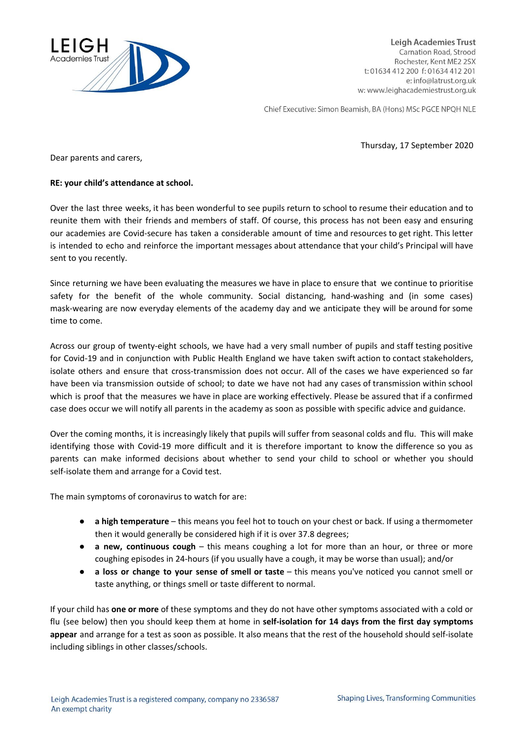

**Leigh Academies Trust** Carnation Road, Strood Rochester, Kent ME2 2SX t: 01634 412 200 f: 01634 412 201 e: info@latrust.org.uk w: www.leighacademiestrust.org.uk

Chief Executive: Simon Beamish, BA (Hons) MSc PGCE NPQH NLE

Thursday, 17 September 2020

Dear parents and carers,

## **RE: your child's attendance at school.**

Over the last three weeks, it has been wonderful to see pupils return to school to resume their education and to reunite them with their friends and members of staff. Of course, this process has not been easy and ensuring our academies are Covid-secure has taken a considerable amount of time and resources to get right. This letter is intended to echo and reinforce the important messages about attendance that your child's Principal will have sent to you recently.

Since returning we have been evaluating the measures we have in place to ensure that we continue to prioritise safety for the benefit of the whole community. Social distancing, hand-washing and (in some cases) mask-wearing are now everyday elements of the academy day and we anticipate they will be around for some time to come.

Across our group of twenty-eight schools, we have had a very small number of pupils and staff testing positive for Covid-19 and in conjunction with Public Health England we have taken swift action to contact stakeholders, isolate others and ensure that cross-transmission does not occur. All of the cases we have experienced so far have been via transmission outside of school; to date we have not had any cases of transmission within school which is proof that the measures we have in place are working effectively. Please be assured that if a confirmed case does occur we will notify all parents in the academy as soon as possible with specific advice and guidance.

Over the coming months, it is increasingly likely that pupils will suffer from seasonal colds and flu. This will make identifying those with Covid-19 more difficult and it is therefore important to know the difference so you as parents can make informed decisions about whether to send your child to school or whether you should self-isolate them and arrange for a Covid test.

The main symptoms of coronavirus to watch for are:

- **a high temperature** this means you feel hot to touch on your chest or back. If using a thermometer then it would generally be considered high if it is over 37.8 degrees;
- **a new, continuous cough** this means coughing a lot for more than an hour, or three or more coughing episodes in 24-hours (if you usually have a cough, it may be worse than usual); and/or
- **a loss or change to your sense of smell or taste** this means you've noticed you cannot smell or taste anything, or things smell or taste different to normal.

If your child has **one or more** of these symptoms and they do not have other symptoms associated with a cold or flu (see below) then you should keep them at home in **self-isolation for 14 days from the first day symptoms appear** and arrange for a test as soon as possible. It also means that the rest of the household should self-isolate including siblings in other classes/schools.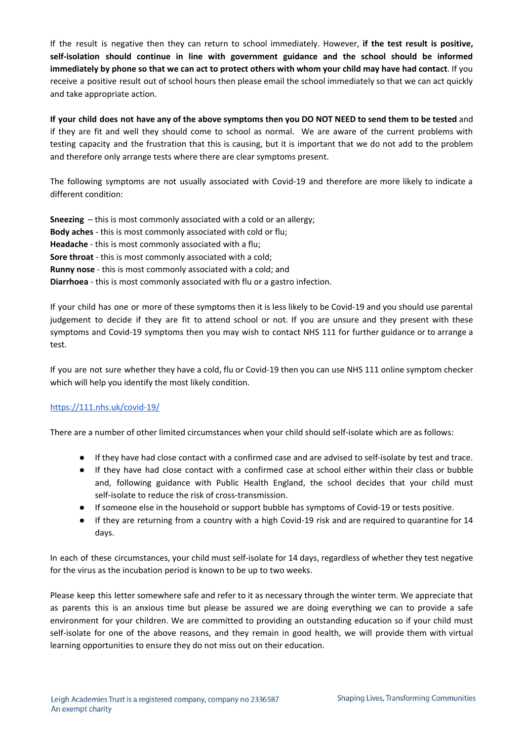If the result is negative then they can return to school immediately. However, **if the test result is positive, self-isolation should continue in line with government guidance and the school should be informed** immediately by phone so that we can act to protect others with whom your child may have had contact. If you receive a positive result out of school hours then please email the school immediately so that we can act quickly and take appropriate action.

If your child does not have any of the above symptoms then you DO NOT NEED to send them to be tested and if they are fit and well they should come to school as normal. We are aware of the current problems with testing capacity and the frustration that this is causing, but it is important that we do not add to the problem and therefore only arrange tests where there are clear symptoms present.

The following symptoms are not usually associated with Covid-19 and therefore are more likely to indicate a different condition:

**Sneezing** – this is most commonly associated with a cold or an allergy; **Body aches** - this is most commonly associated with cold or flu; **Headache** - this is most commonly associated with a flu; **Sore throat** - this is most commonly associated with a cold; **Runny nose** - this is most commonly associated with a cold; and **Diarrhoea** - this is most commonly associated with flu or a gastro infection.

If your child has one or more of these symptoms then it is less likely to be Covid-19 and you should use parental judgement to decide if they are fit to attend school or not. If you are unsure and they present with these symptoms and Covid-19 symptoms then you may wish to contact NHS 111 for further guidance or to arrange a test.

If you are not sure whether they have a cold, flu or Covid-19 then you can use NHS 111 online symptom checker which will help you identify the most likely condition.

## <https://111.nhs.uk/covid-19/>

There are a number of other limited circumstances when your child should self-isolate which are as follows:

- If they have had close contact with a confirmed case and are advised to self-isolate by test and trace.
- If they have had close contact with a confirmed case at school either within their class or bubble and, following guidance with Public Health England, the school decides that your child must self-isolate to reduce the risk of cross-transmission.
- If someone else in the household or support bubble has symptoms of Covid-19 or tests positive.
- If they are returning from a country with a high Covid-19 risk and are required to quarantine for 14 days.

In each of these circumstances, your child must self-isolate for 14 days, regardless of whether they test negative for the virus as the incubation period is known to be up to two weeks.

Please keep this letter somewhere safe and refer to it as necessary through the winter term. We appreciate that as parents this is an anxious time but please be assured we are doing everything we can to provide a safe environment for your children. We are committed to providing an outstanding education so if your child must self-isolate for one of the above reasons, and they remain in good health, we will provide them with virtual learning opportunities to ensure they do not miss out on their education.